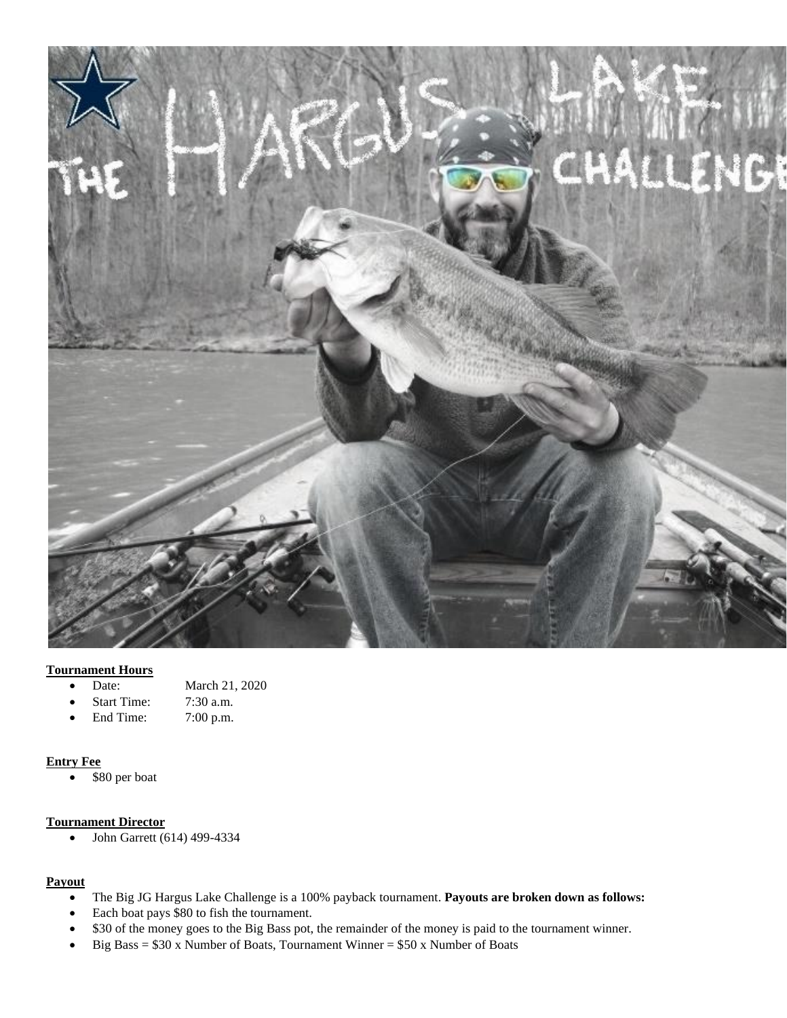

## **Tournament Hours**

- Date: March 21, 2020
- Start Time: 7:30 a.m.
- End Time: 7:00 p.m.

## **Entry Fee**

• \$80 per boat

# **Tournament Director**

• John Garrett (614) 499-4334

## **Payout**

- The Big JG Hargus Lake Challenge is a 100% payback tournament. **Payouts are broken down as follows:**
- Each boat pays \$80 to fish the tournament.
- \$30 of the money goes to the Big Bass pot, the remainder of the money is paid to the tournament winner.
- Big Bass = \$30 x Number of Boats, Tournament Winner = \$50 x Number of Boats